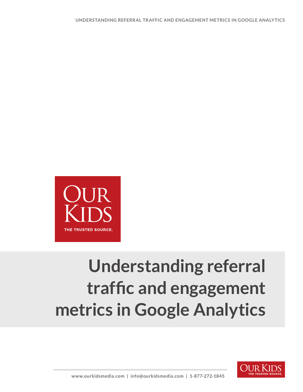

## **Understanding referral traffic and engagement metrics in Google Analytics**

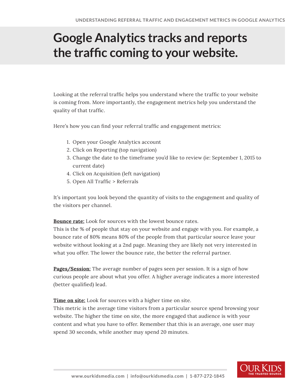## **Google Analytics tracks and reports the traffic coming to your website.**

Looking at the referral traffic helps you understand where the traffic to your website is coming from. More importantly, the engagement metrics help you understand the quality of that traffic.

Here's how you can find your referral traffic and engagement metrics:

- 1. Open your Google Analytics account
- 2. Click on Reporting (top navigation)
- 3. Change the date to the timeframe you'd like to review (ie: September 1, 2015 to current date)
- 4. Click on Acquisition (left navigation)
- 5. Open All Traffic > Referrals

It's important you look beyond the quantity of visits to the engagement and quality of the visitors per channel.

**Bounce rate:** Look for sources with the lowest bounce rates.

This is the % of people that stay on your website and engage with you. For example, a bounce rate of 80% means 80% of the people from that particular source leave your website without looking at a 2nd page. Meaning they are likely not very interested in what you offer. The lower the bounce rate, the better the referral partner.

**Pages/Session:** The average number of pages seen per session. It is a sign of how curious people are about what you offer. A higher average indicates a more interested (better qualified) lead.

**Time on site:** Look for sources with a higher time on site.

This metric is the average time visitors from a particular source spend browsing your website. The higher the time on site, the more engaged that audience is with your content and what you have to offer. Remember that this is an average, one user may spend 30 seconds, while another may spend 20 minutes.